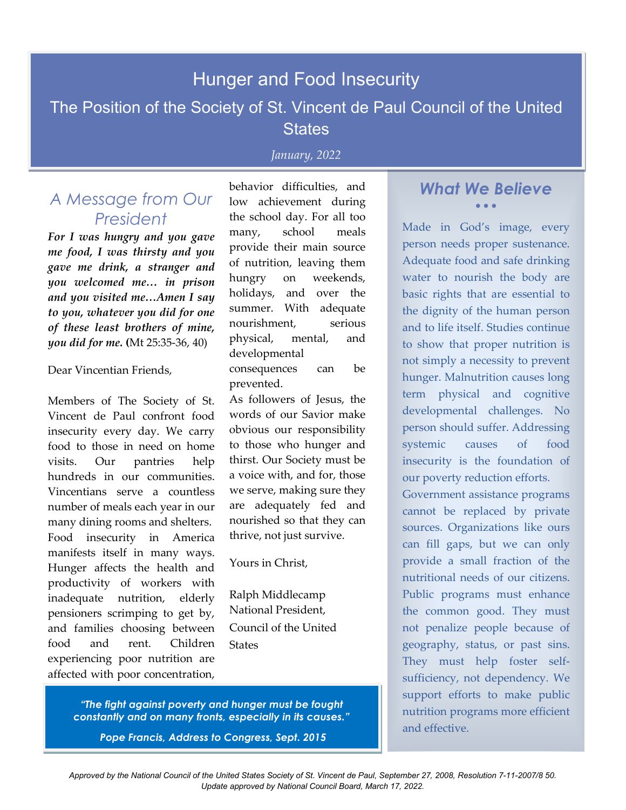# Hunger and Food Insecurity

## The Position of the Society of St. Vincent de Paul Council of the United **States**

### *January, 2022*

## *A Message from Our President*

*For I was hungry and you gave me food, I was thirsty and you gave me drink, a stranger and you welcomed me… in prison and you visited me…Amen I say to you, whatever you did for one of these least brothers of mine, you did for me.* **(**Mt 25:35-36, 40)

#### Dear Vincentian Friends,

Members of The Society of St. Vincent de Paul confront food insecurity every day. We carry food to those in need on home visits. Our pantries help hundreds in our communities. Vincentians serve a countless number of meals each year in our many dining rooms and shelters. Food insecurity in America manifests itself in many ways. Hunger affects the health and productivity of workers with inadequate nutrition, elderly pensioners scrimping to get by, and families choosing between food and rent. Children experiencing poor nutrition are affected with poor concentration,

behavior difficulties, and low achievement during the school day. For all too many, school meals provide their main source of nutrition, leaving them hungry on weekends, holidays, and over the summer. With adequate nourishment, serious physical, mental, and developmental consequences can be prevented.

As followers of Jesus, the words of our Savior make obvious our responsibility to those who hunger and thirst. Our Society must be a voice with, and for, those we serve, making sure they are adequately fed and nourished so that they can thrive, not just survive.

Yours in Christ,

Ralph Middlecamp National President, Council of the United **States** 

*What We Believe* • • •

Made in God's image, every person needs proper sustenance. Adequate food and safe drinking water to nourish the body are basic rights that are essential to the dignity of the human person and to life itself. Studies continue to show that proper nutrition is not simply a necessity to prevent hunger. Malnutrition causes long term physical and cognitive developmental challenges. No person should suffer. Addressing systemic causes of food insecurity is the foundation of our poverty reduction efforts.

Government assistance programs cannot be replaced by private sources. Organizations like ours can fill gaps, but we can only provide a small fraction of the nutritional needs of our citizens. Public programs must enhance the common good. They must not penalize people because of geography, status, or past sins. They must help foster selfsufficiency, not dependency. We support efforts to make public nutrition programs more efficient and effective.

*"The fight against poverty and hunger must be fought constantly and on many fronts, especially in its causes."*

*Pope Francis, Address to Congress, Sept. 2015*

*Approved by the National Council of the United States Society of St. Vincent de Paul, September 27, 2008, Resolution 7-11-2007/8 50. Update approved by National Council Board, March 17, 2022.*